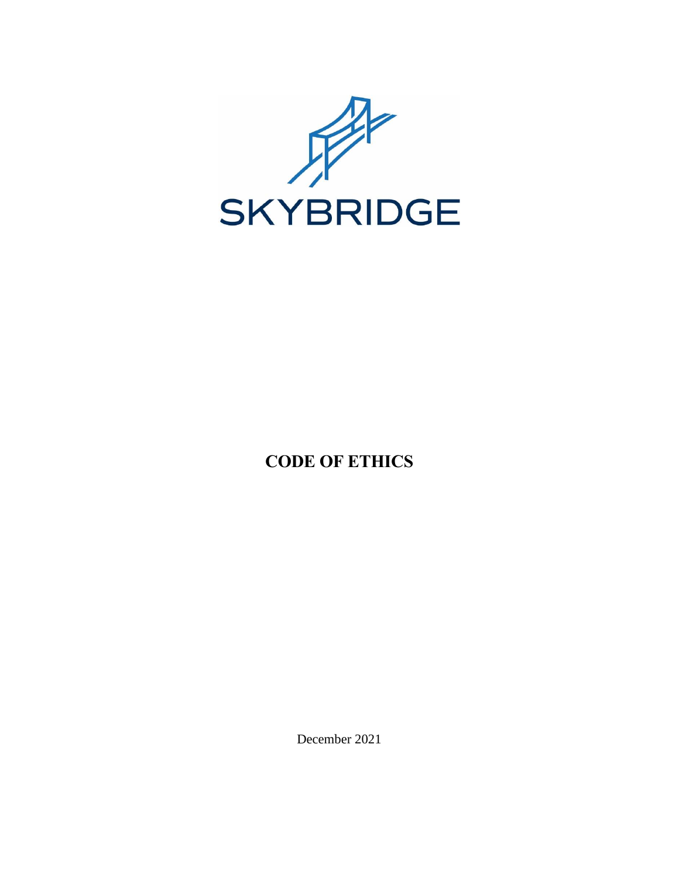

# **CODE OF ETHICS**

December 2021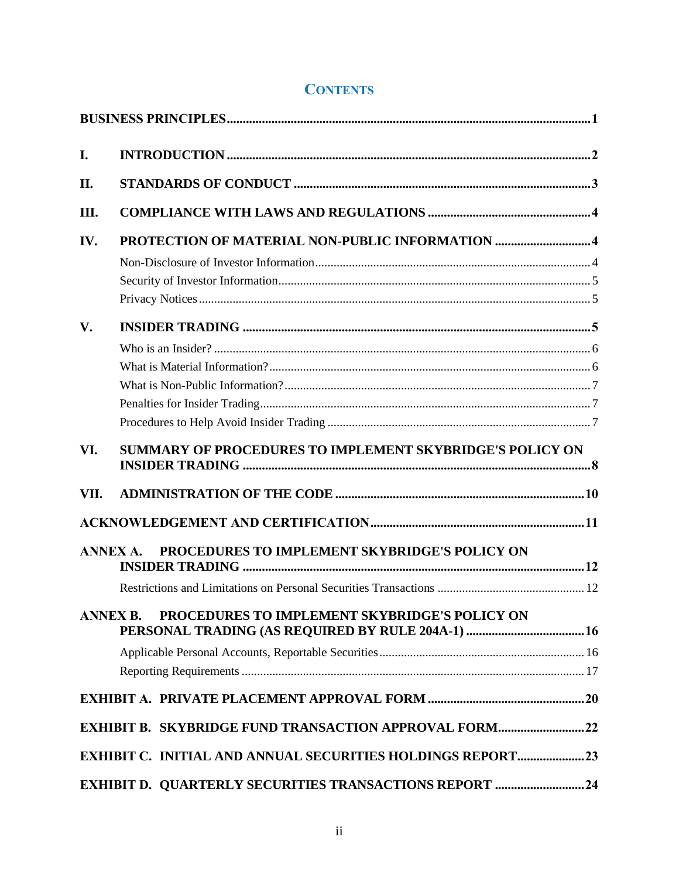# **CONTENTS**

| I.            |                                                                   |  |
|---------------|-------------------------------------------------------------------|--|
| II.           |                                                                   |  |
| Ш.            |                                                                   |  |
| IV.           |                                                                   |  |
|               |                                                                   |  |
|               |                                                                   |  |
|               |                                                                   |  |
| $V_{\bullet}$ |                                                                   |  |
|               |                                                                   |  |
|               |                                                                   |  |
|               |                                                                   |  |
|               |                                                                   |  |
|               |                                                                   |  |
| VI.           | SUMMARY OF PROCEDURES TO IMPLEMENT SKYBRIDGE'S POLICY ON          |  |
| VII.          |                                                                   |  |
|               |                                                                   |  |
|               | PROCEDURES TO IMPLEMENT SKYBRIDGE'S POLICY ON<br><b>ANNEX A.</b>  |  |
|               |                                                                   |  |
|               |                                                                   |  |
|               | PROCEDURES TO IMPLEMENT SKYBRIDGE'S POLICY ON<br><b>ANNEX B.</b>  |  |
|               |                                                                   |  |
|               |                                                                   |  |
|               |                                                                   |  |
|               | <b>EXHIBIT B. SKYBRIDGE FUND TRANSACTION APPROVAL FORM22</b>      |  |
|               | <b>EXHIBIT C. INITIAL AND ANNUAL SECURITIES HOLDINGS REPORT23</b> |  |
|               | <b>EXHIBIT D. QUARTERLY SECURITIES TRANSACTIONS REPORT 24</b>     |  |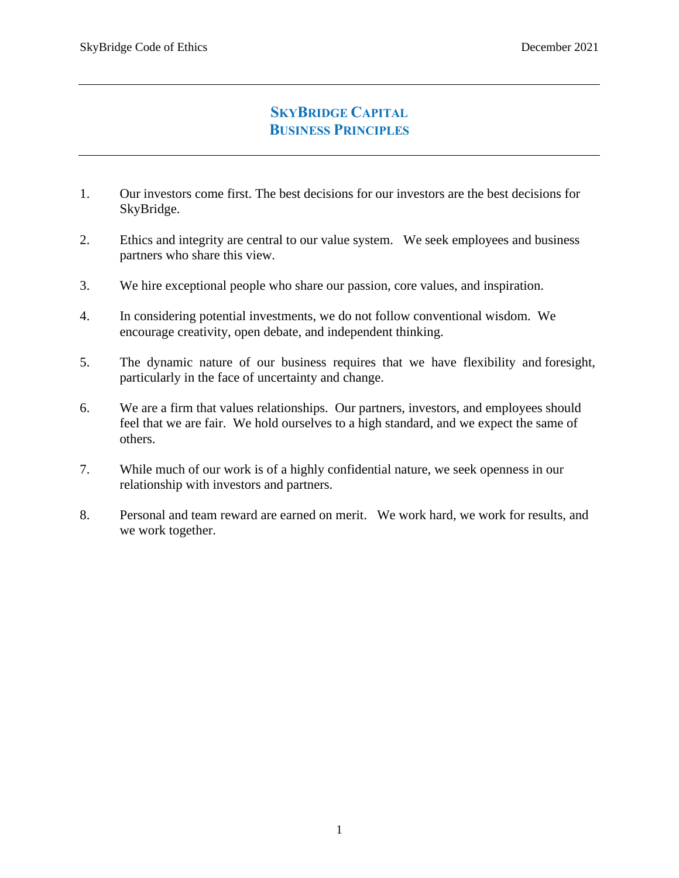# **SKYBRIDGE CAPITAL BUSINESS PRINCIPLES**

- <span id="page-2-0"></span>1. Our investors come first. The best decisions for our investors are the best decisions for SkyBridge.
- 2. Ethics and integrity are central to our value system. We seek employees and business partners who share this view.
- 3. We hire exceptional people who share our passion, core values, and inspiration.
- 4. In considering potential investments, we do not follow conventional wisdom. We encourage creativity, open debate, and independent thinking.
- 5. The dynamic nature of our business requires that we have flexibility and foresight, particularly in the face of uncertainty and change.
- 6. We are a firm that values relationships. Our partners, investors, and employees should feel that we are fair. We hold ourselves to a high standard, and we expect the same of others.
- 7. While much of our work is of a highly confidential nature, we seek openness in our relationship with investors and partners.
- 8. Personal and team reward are earned on merit. We work hard, we work for results, and we work together.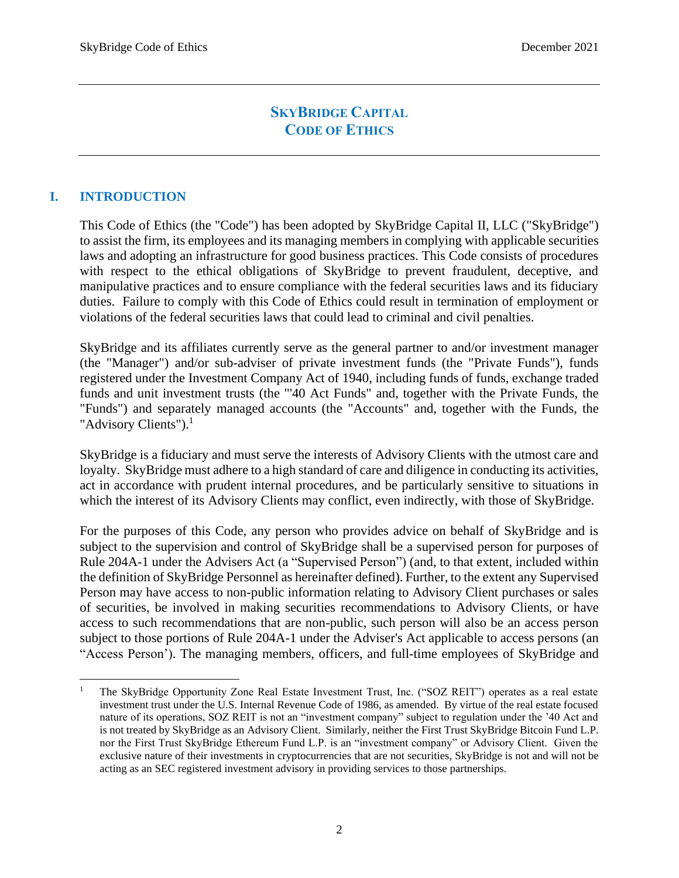# **SKYBRIDGE CAPITAL CODE OF ETHICS**

### <span id="page-3-0"></span>**I. INTRODUCTION**

This Code of Ethics (the "Code") has been adopted by SkyBridge Capital II, LLC ("SkyBridge") to assist the firm, its employees and its managing members in complying with applicable securities laws and adopting an infrastructure for good business practices. This Code consists of procedures with respect to the ethical obligations of SkyBridge to prevent fraudulent, deceptive, and manipulative practices and to ensure compliance with the federal securities laws and its fiduciary duties. Failure to comply with this Code of Ethics could result in termination of employment or violations of the federal securities laws that could lead to criminal and civil penalties.

SkyBridge and its affiliates currently serve as the general partner to and/or investment manager (the "Manager") and/or sub-adviser of private investment funds (the "Private Funds"), funds registered under the Investment Company Act of 1940, including funds of funds, exchange traded funds and unit investment trusts (the "'40 Act Funds" and, together with the Private Funds, the "Funds") and separately managed accounts (the "Accounts" and, together with the Funds, the "Advisory Clients").<sup>1</sup>

SkyBridge is a fiduciary and must serve the interests of Advisory Clients with the utmost care and loyalty. SkyBridge must adhere to a high standard of care and diligence in conducting its activities, act in accordance with prudent internal procedures, and be particularly sensitive to situations in which the interest of its Advisory Clients may conflict, even indirectly, with those of SkyBridge.

For the purposes of this Code, any person who provides advice on behalf of SkyBridge and is subject to the supervision and control of SkyBridge shall be a supervised person for purposes of Rule 204A-1 under the Advisers Act (a "Supervised Person") (and, to that extent, included within the definition of SkyBridge Personnel as hereinafter defined). Further, to the extent any Supervised Person may have access to non-public information relating to Advisory Client purchases or sales of securities, be involved in making securities recommendations to Advisory Clients, or have access to such recommendations that are non-public, such person will also be an access person subject to those portions of Rule 204A-1 under the Adviser's Act applicable to access persons (an "Access Person'). The managing members, officers, and full-time employees of SkyBridge and

<sup>1</sup> The SkyBridge Opportunity Zone Real Estate Investment Trust, Inc. ("SOZ REIT") operates as a real estate investment trust under the U.S. Internal Revenue Code of 1986, as amended. By virtue of the real estate focused nature of its operations, SOZ REIT is not an "investment company" subject to regulation under the '40 Act and is not treated by SkyBridge as an Advisory Client. Similarly, neither the First Trust SkyBridge Bitcoin Fund L.P. nor the First Trust SkyBridge Ethereum Fund L.P. is an "investment company" or Advisory Client. Given the exclusive nature of their investments in cryptocurrencies that are not securities, SkyBridge is not and will not be acting as an SEC registered investment advisory in providing services to those partnerships.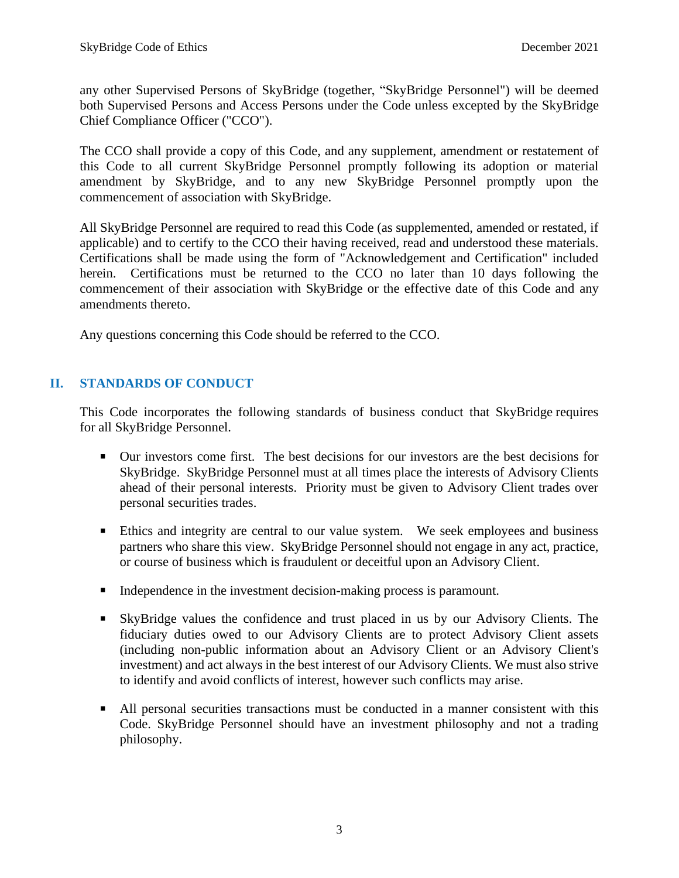any other Supervised Persons of SkyBridge (together, "SkyBridge Personnel") will be deemed both Supervised Persons and Access Persons under the Code unless excepted by the SkyBridge Chief Compliance Officer ("CCO").

The CCO shall provide a copy of this Code, and any supplement, amendment or restatement of this Code to all current SkyBridge Personnel promptly following its adoption or material amendment by SkyBridge, and to any new SkyBridge Personnel promptly upon the commencement of association with SkyBridge.

All SkyBridge Personnel are required to read this Code (as supplemented, amended or restated, if applicable) and to certify to the CCO their having received, read and understood these materials. Certifications shall be made using the form of "Acknowledgement and Certification" included herein. Certifications must be returned to the CCO no later than 10 days following the commencement of their association with SkyBridge or the effective date of this Code and any amendments thereto.

<span id="page-4-0"></span>Any questions concerning this Code should be referred to the CCO.

### **II. STANDARDS OF CONDUCT**

This Code incorporates the following standards of business conduct that SkyBridge requires for all SkyBridge Personnel.

- Our investors come first. The best decisions for our investors are the best decisions for SkyBridge. SkyBridge Personnel must at all times place the interests of Advisory Clients ahead of their personal interests. Priority must be given to Advisory Client trades over personal securities trades.
- **Ethics and integrity are central to our value system.** We seek employees and business partners who share this view. SkyBridge Personnel should not engage in any act, practice, or course of business which is fraudulent or deceitful upon an Advisory Client.
- Independence in the investment decision-making process is paramount.
- SkyBridge values the confidence and trust placed in us by our Advisory Clients. The fiduciary duties owed to our Advisory Clients are to protect Advisory Client assets (including non-public information about an Advisory Client or an Advisory Client's investment) and act always in the best interest of our Advisory Clients. We must also strive to identify and avoid conflicts of interest, however such conflicts may arise.
- All personal securities transactions must be conducted in a manner consistent with this Code. SkyBridge Personnel should have an investment philosophy and not a trading philosophy.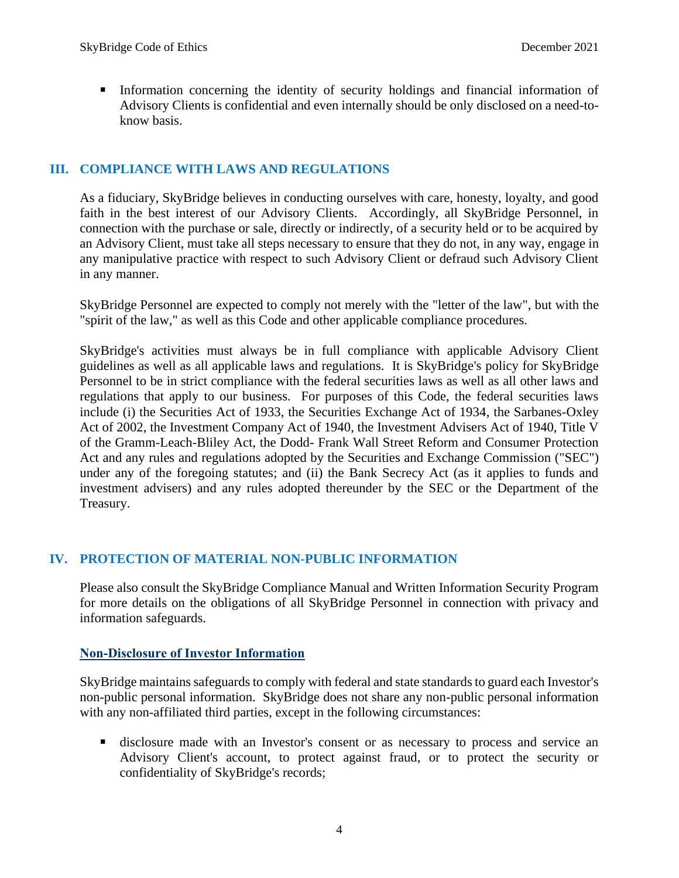▪ Information concerning the identity of security holdings and financial information of Advisory Clients is confidential and even internally should be only disclosed on a need-toknow basis.

### <span id="page-5-0"></span>**III. COMPLIANCE WITH LAWS AND REGULATIONS**

As a fiduciary, SkyBridge believes in conducting ourselves with care, honesty, loyalty, and good faith in the best interest of our Advisory Clients. Accordingly, all SkyBridge Personnel, in connection with the purchase or sale, directly or indirectly, of a security held or to be acquired by an Advisory Client, must take all steps necessary to ensure that they do not, in any way, engage in any manipulative practice with respect to such Advisory Client or defraud such Advisory Client in any manner.

SkyBridge Personnel are expected to comply not merely with the "letter of the law", but with the "spirit of the law," as well as this Code and other applicable compliance procedures.

SkyBridge's activities must always be in full compliance with applicable Advisory Client guidelines as well as all applicable laws and regulations. It is SkyBridge's policy for SkyBridge Personnel to be in strict compliance with the federal securities laws as well as all other laws and regulations that apply to our business. For purposes of this Code, the federal securities laws include (i) the Securities Act of 1933, the Securities Exchange Act of 1934, the Sarbanes-Oxley Act of 2002, the Investment Company Act of 1940, the Investment Advisers Act of 1940, Title V of the Gramm-Leach-Bliley Act, the Dodd- Frank Wall Street Reform and Consumer Protection Act and any rules and regulations adopted by the Securities and Exchange Commission ("SEC") under any of the foregoing statutes; and (ii) the Bank Secrecy Act (as it applies to funds and investment advisers) and any rules adopted thereunder by the SEC or the Department of the Treasury.

### <span id="page-5-1"></span>**IV. PROTECTION OF MATERIAL NON-PUBLIC INFORMATION**

Please also consult the SkyBridge Compliance Manual and Written Information Security Program for more details on the obligations of all SkyBridge Personnel in connection with privacy and information safeguards.

#### <span id="page-5-2"></span>**Non-Disclosure of Investor Information**

SkyBridge maintains safeguards to comply with federal and state standards to guard each Investor's non-public personal information. SkyBridge does not share any non-public personal information with any non-affiliated third parties, except in the following circumstances:

**E** disclosure made with an Investor's consent or as necessary to process and service an Advisory Client's account, to protect against fraud, or to protect the security or confidentiality of SkyBridge's records;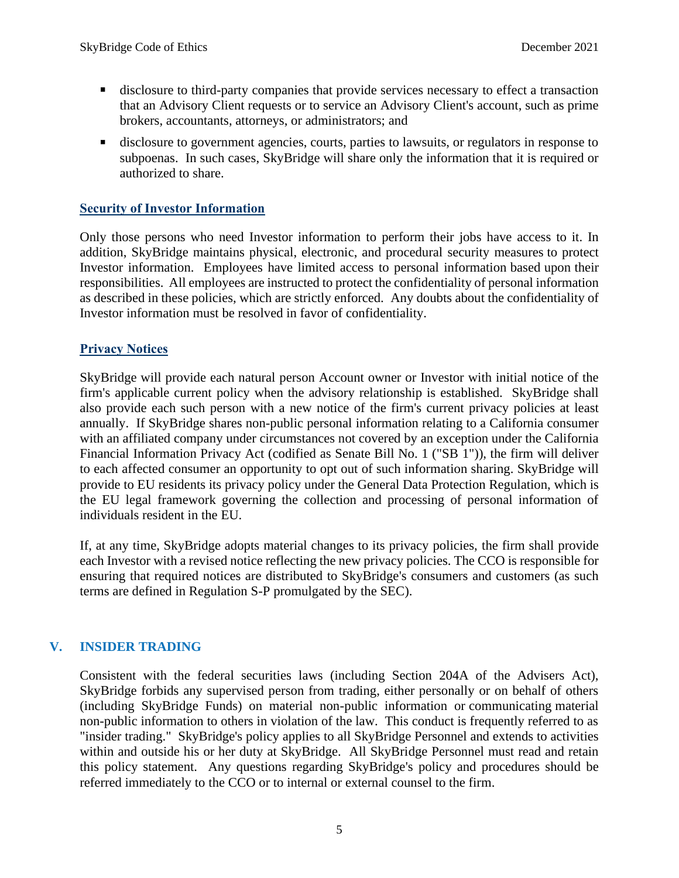- disclosure to third-party companies that provide services necessary to effect a transaction that an Advisory Client requests or to service an Advisory Client's account, such as prime brokers, accountants, attorneys, or administrators; and
- disclosure to government agencies, courts, parties to lawsuits, or regulators in response to subpoenas. In such cases, SkyBridge will share only the information that it is required or authorized to share.

#### <span id="page-6-0"></span>**Security of Investor Information**

Only those persons who need Investor information to perform their jobs have access to it. In addition, SkyBridge maintains physical, electronic, and procedural security measures to protect Investor information. Employees have limited access to personal information based upon their responsibilities. All employees are instructed to protect the confidentiality of personal information as described in these policies, which are strictly enforced. Any doubts about the confidentiality of Investor information must be resolved in favor of confidentiality.

#### <span id="page-6-1"></span>**Privacy Notices**

SkyBridge will provide each natural person Account owner or Investor with initial notice of the firm's applicable current policy when the advisory relationship is established. SkyBridge shall also provide each such person with a new notice of the firm's current privacy policies at least annually. If SkyBridge shares non-public personal information relating to a California consumer with an affiliated company under circumstances not covered by an exception under the California Financial Information Privacy Act (codified as Senate Bill No. 1 ("SB 1")), the firm will deliver to each affected consumer an opportunity to opt out of such information sharing. SkyBridge will provide to EU residents its privacy policy under the General Data Protection Regulation, which is the EU legal framework governing the collection and processing of personal information of individuals resident in the EU.

If, at any time, SkyBridge adopts material changes to its privacy policies, the firm shall provide each Investor with a revised notice reflecting the new privacy policies. The CCO is responsible for ensuring that required notices are distributed to SkyBridge's consumers and customers (as such terms are defined in Regulation S-P promulgated by the SEC).

### <span id="page-6-2"></span>**V. INSIDER TRADING**

Consistent with the federal securities laws (including Section 204A of the Advisers Act), SkyBridge forbids any supervised person from trading, either personally or on behalf of others (including SkyBridge Funds) on material non-public information or communicating material non-public information to others in violation of the law. This conduct is frequently referred to as "insider trading." SkyBridge's policy applies to all SkyBridge Personnel and extends to activities within and outside his or her duty at SkyBridge. All SkyBridge Personnel must read and retain this policy statement. Any questions regarding SkyBridge's policy and procedures should be referred immediately to the CCO or to internal or external counsel to the firm.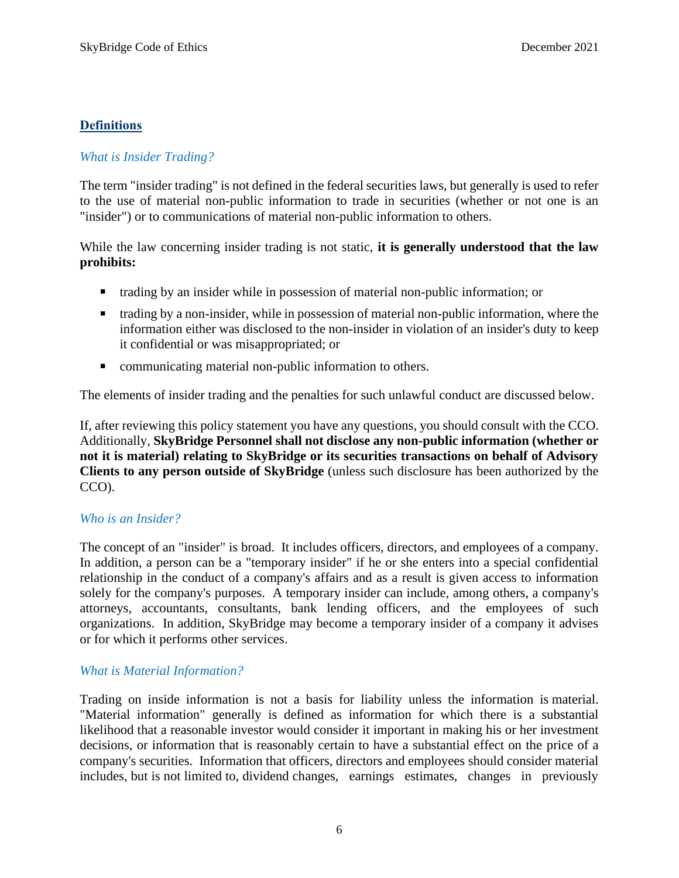## **Definitions**

## *What is Insider Trading?*

The term "insider trading" is not defined in the federal securities laws, but generally is used to refer to the use of material non-public information to trade in securities (whether or not one is an "insider") or to communications of material non-public information to others.

While the law concerning insider trading is not static, **it is generally understood that the law prohibits:**

- trading by an insider while in possession of material non-public information; or
- trading by a non-insider, while in possession of material non-public information, where the information either was disclosed to the non-insider in violation of an insider's duty to keep it confidential or was misappropriated; or
- communicating material non-public information to others.

The elements of insider trading and the penalties for such unlawful conduct are discussed below.

If, after reviewing this policy statement you have any questions, you should consult with the CCO. Additionally, **SkyBridge Personnel shall not disclose any non-public information (whether or not it is material) relating to SkyBridge or its securities transactions on behalf of Advisory Clients to any person outside of SkyBridge** (unless such disclosure has been authorized by the CCO).

### <span id="page-7-0"></span>*Who is an Insider?*

The concept of an "insider" is broad. It includes officers, directors, and employees of a company. In addition, a person can be a "temporary insider" if he or she enters into a special confidential relationship in the conduct of a company's affairs and as a result is given access to information solely for the company's purposes. A temporary insider can include, among others, a company's attorneys, accountants, consultants, bank lending officers, and the employees of such organizations. In addition, SkyBridge may become a temporary insider of a company it advises or for which it performs other services.

### <span id="page-7-1"></span>*What is Material Information?*

Trading on inside information is not a basis for liability unless the information is material. "Material information" generally is defined as information for which there is a substantial likelihood that a reasonable investor would consider it important in making his or her investment decisions, or information that is reasonably certain to have a substantial effect on the price of a company's securities. Information that officers, directors and employees should consider material includes, but is not limited to, dividend changes, earnings estimates, changes in previously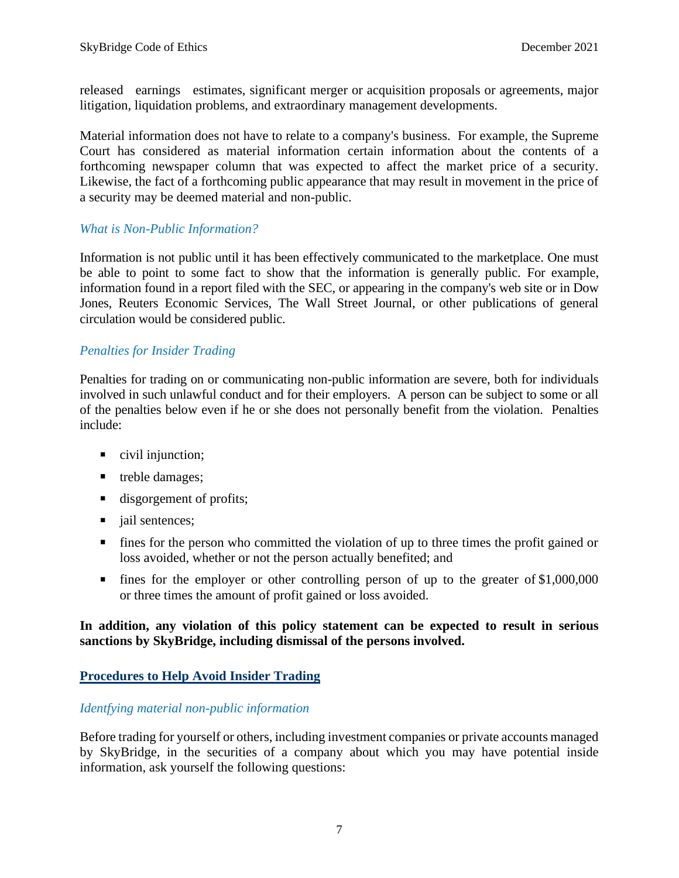released earnings estimates, significant merger or acquisition proposals or agreements, major litigation, liquidation problems, and extraordinary management developments.

Material information does not have to relate to a company's business. For example, the Supreme Court has considered as material information certain information about the contents of a forthcoming newspaper column that was expected to affect the market price of a security. Likewise, the fact of a forthcoming public appearance that may result in movement in the price of a security may be deemed material and non-public.

#### <span id="page-8-0"></span>*What is Non-Public Information?*

Information is not public until it has been effectively communicated to the marketplace. One must be able to point to some fact to show that the information is generally public. For example, information found in a report filed with the SEC, or appearing in the company's web site or in Dow Jones, Reuters Economic Services, The Wall Street Journal, or other publications of general circulation would be considered public.

#### <span id="page-8-1"></span>*Penalties for Insider Trading*

Penalties for trading on or communicating non-public information are severe, both for individuals involved in such unlawful conduct and for their employers. A person can be subject to some or all of the penalties below even if he or she does not personally benefit from the violation. Penalties include:

- civil injunction;
- treble damages;
- disgorgement of profits;
- jail sentences;
- fines for the person who committed the violation of up to three times the profit gained or loss avoided, whether or not the person actually benefited; and
- fines for the employer or other controlling person of up to the greater of \$1,000,000 or three times the amount of profit gained or loss avoided.

#### **In addition, any violation of this policy statement can be expected to result in serious sanctions by SkyBridge, including dismissal of the persons involved.**

### <span id="page-8-2"></span>**Procedures to Help Avoid Insider Trading**

#### *Identfying material non-public information*

Before trading for yourself or others, including investment companies or private accounts managed by SkyBridge, in the securities of a company about which you may have potential inside information, ask yourself the following questions: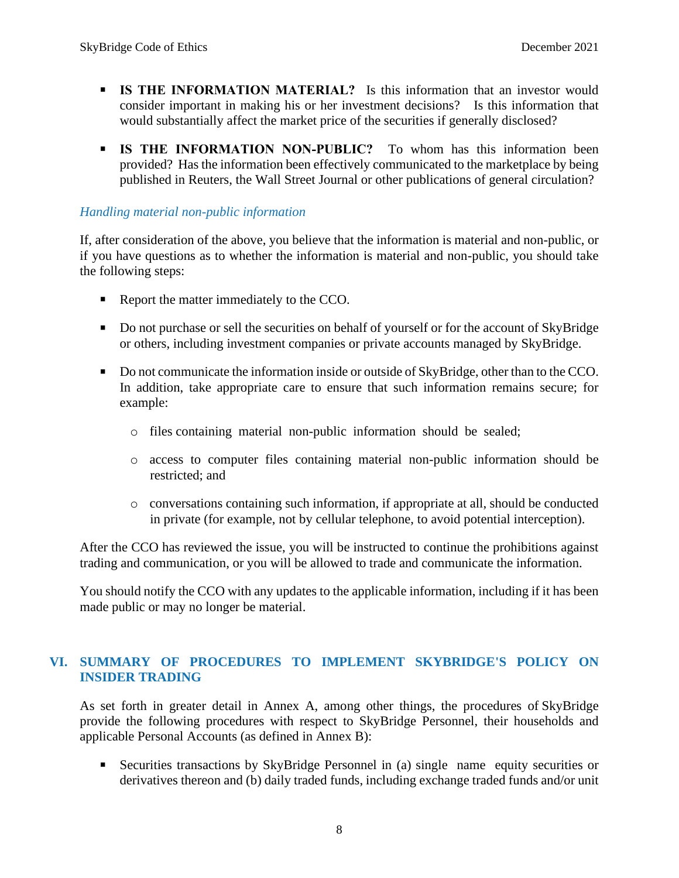- **IS THE INFORMATION MATERIAL?** Is this information that an investor would consider important in making his or her investment decisions? Is this information that would substantially affect the market price of the securities if generally disclosed?
- **E** IS THE INFORMATION NON-PUBLIC? To whom has this information been provided? Has the information been effectively communicated to the marketplace by being published in Reuters, the Wall Street Journal or other publications of general circulation?

### *Handling material non-public information*

If, after consideration of the above, you believe that the information is material and non-public, or if you have questions as to whether the information is material and non-public, you should take the following steps:

- Report the matter immediately to the CCO.
- Do not purchase or sell the securities on behalf of yourself or for the account of SkyBridge or others, including investment companies or private accounts managed by SkyBridge.
- Do not communicate the information inside or outside of SkyBridge, other than to the CCO. In addition, take appropriate care to ensure that such information remains secure; for example:
	- o files containing material non-public information should be sealed;
	- o access to computer files containing material non-public information should be restricted; and
	- o conversations containing such information, if appropriate at all, should be conducted in private (for example, not by cellular telephone, to avoid potential interception).

After the CCO has reviewed the issue, you will be instructed to continue the prohibitions against trading and communication, or you will be allowed to trade and communicate the information.

<span id="page-9-0"></span>You should notify the CCO with any updates to the applicable information, including if it has been made public or may no longer be material.

### **VI. SUMMARY OF PROCEDURES TO IMPLEMENT SKYBRIDGE'S POLICY ON INSIDER TRADING**

As set forth in greater detail in Annex A, among other things, the procedures of SkyBridge provide the following procedures with respect to SkyBridge Personnel, their households and applicable Personal Accounts (as defined in Annex B):

**Execurities transactions by SkyBridge Personnel in (a) single name equity securities or** derivatives thereon and (b) daily traded funds, including exchange traded funds and/or unit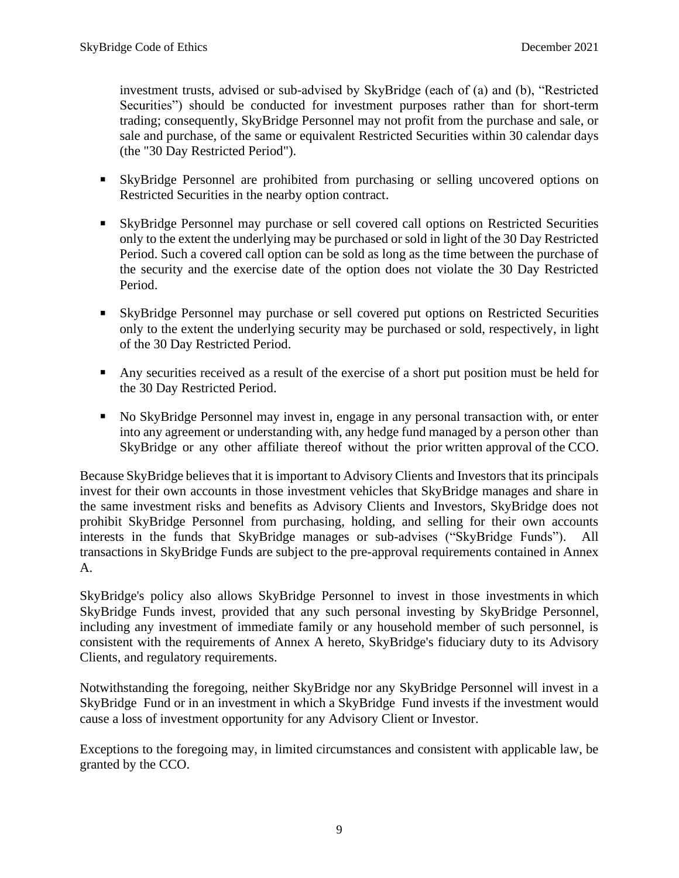investment trusts, advised or sub-advised by SkyBridge (each of (a) and (b), "Restricted Securities") should be conducted for investment purposes rather than for short-term trading; consequently, SkyBridge Personnel may not profit from the purchase and sale, or sale and purchase, of the same or equivalent Restricted Securities within 30 calendar days (the "30 Day Restricted Period").

- SkyBridge Personnel are prohibited from purchasing or selling uncovered options on Restricted Securities in the nearby option contract.
- **Example 2** SkyBridge Personnel may purchase or sell covered call options on Restricted Securities only to the extent the underlying may be purchased or sold in light of the 30 Day Restricted Period. Such a covered call option can be sold as long as the time between the purchase of the security and the exercise date of the option does not violate the 30 Day Restricted Period.
- **Example 3** SkyBridge Personnel may purchase or sell covered put options on Restricted Securities only to the extent the underlying security may be purchased or sold, respectively, in light of the 30 Day Restricted Period.
- Any securities received as a result of the exercise of a short put position must be held for the 30 Day Restricted Period.
- No SkyBridge Personnel may invest in, engage in any personal transaction with, or enter into any agreement or understanding with, any hedge fund managed by a person other than SkyBridge or any other affiliate thereof without the prior written approval of the CCO.

Because SkyBridge believes that it is important to Advisory Clients and Investors that its principals invest for their own accounts in those investment vehicles that SkyBridge manages and share in the same investment risks and benefits as Advisory Clients and Investors, SkyBridge does not prohibit SkyBridge Personnel from purchasing, holding, and selling for their own accounts interests in the funds that SkyBridge manages or sub-advises ("SkyBridge Funds"). All transactions in SkyBridge Funds are subject to the pre-approval requirements contained in Annex A.

SkyBridge's policy also allows SkyBridge Personnel to invest in those investments in which SkyBridge Funds invest, provided that any such personal investing by SkyBridge Personnel, including any investment of immediate family or any household member of such personnel, is consistent with the requirements of Annex A hereto, SkyBridge's fiduciary duty to its Advisory Clients, and regulatory requirements.

Notwithstanding the foregoing, neither SkyBridge nor any SkyBridge Personnel will invest in a SkyBridge Fund or in an investment in which a SkyBridge Fund invests if the investment would cause a loss of investment opportunity for any Advisory Client or Investor.

Exceptions to the foregoing may, in limited circumstances and consistent with applicable law, be granted by the CCO.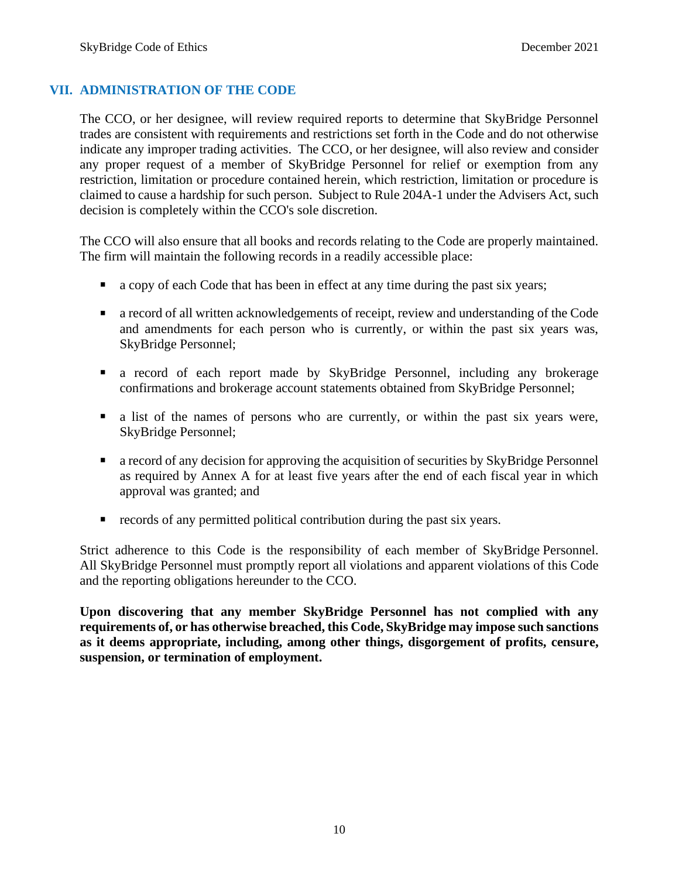#### <span id="page-11-0"></span>**VII. ADMINISTRATION OF THE CODE**

The CCO, or her designee, will review required reports to determine that SkyBridge Personnel trades are consistent with requirements and restrictions set forth in the Code and do not otherwise indicate any improper trading activities. The CCO, or her designee, will also review and consider any proper request of a member of SkyBridge Personnel for relief or exemption from any restriction, limitation or procedure contained herein, which restriction, limitation or procedure is claimed to cause a hardship for such person. Subject to Rule 204A-1 under the Advisers Act, such decision is completely within the CCO's sole discretion.

The CCO will also ensure that all books and records relating to the Code are properly maintained. The firm will maintain the following records in a readily accessible place:

- a copy of each Code that has been in effect at any time during the past six years;
- a record of all written acknowledgements of receipt, review and understanding of the Code and amendments for each person who is currently, or within the past six years was, SkyBridge Personnel;
- a record of each report made by SkyBridge Personnel, including any brokerage confirmations and brokerage account statements obtained from SkyBridge Personnel;
- a list of the names of persons who are currently, or within the past six years were, SkyBridge Personnel;
- a record of any decision for approving the acquisition of securities by SkyBridge Personnel as required by Annex A for at least five years after the end of each fiscal year in which approval was granted; and
- records of any permitted political contribution during the past six years.

Strict adherence to this Code is the responsibility of each member of SkyBridge Personnel. All SkyBridge Personnel must promptly report all violations and apparent violations of this Code and the reporting obligations hereunder to the CCO.

**Upon discovering that any member SkyBridge Personnel has not complied with any requirements of, or has otherwise breached, this Code, SkyBridge may impose such sanctions as it deems appropriate, including, among other things, disgorgement of profits, censure, suspension, or termination of employment.**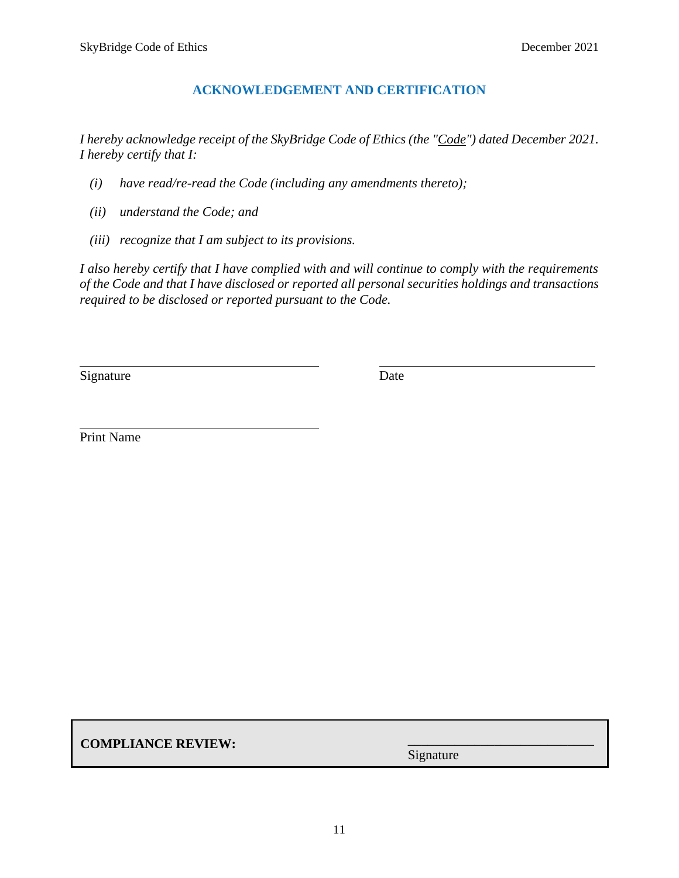### **ACKNOWLEDGEMENT AND CERTIFICATION**

<span id="page-12-0"></span>*I hereby acknowledge receipt of the SkyBridge Code of Ethics (the "Code") dated December 2021. I hereby certify that I:*

- *(i) have read/re-read the Code (including any amendments thereto);*
- *(ii) understand the Code; and*
- *(iii) recognize that I am subject to its provisions.*

. .

*I also hereby certify that I have complied with and will continue to comply with the requirements of the Code and that I have disclosed or reported all personal securities holdings and transactions required to be disclosed or reported pursuant to the Code.*

. .

Signature Date

Print Name

**COMPLIANCE REVIEW:**

Signature

\_\_\_\_\_\_\_\_\_\_\_\_\_\_\_\_\_\_\_\_\_\_\_\_\_\_\_\_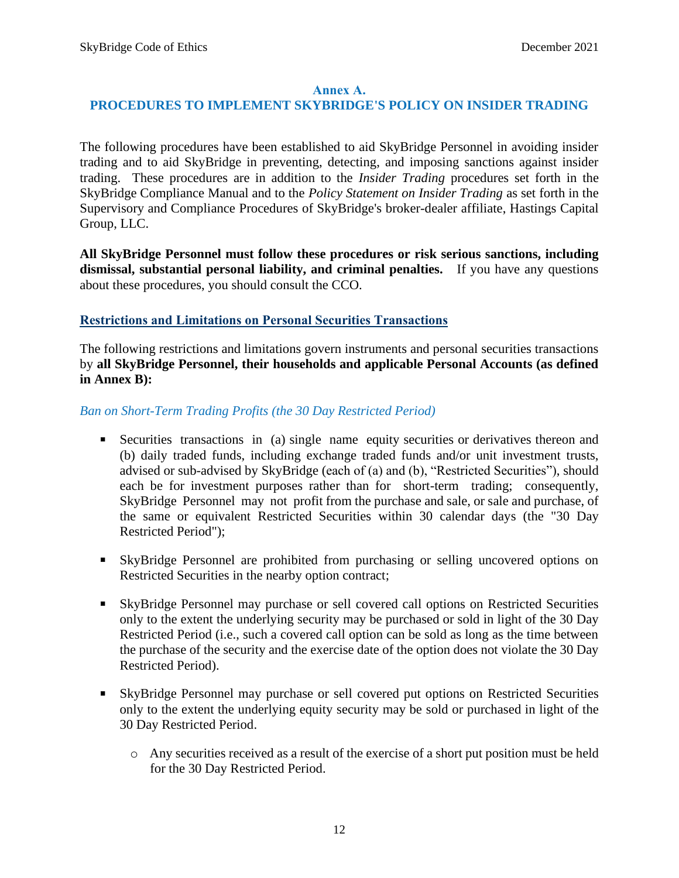#### **Annex A.**

### <span id="page-13-0"></span>**PROCEDURES TO IMPLEMENT SKYBRIDGE'S POLICY ON INSIDER TRADING**

The following procedures have been established to aid SkyBridge Personnel in avoiding insider trading and to aid SkyBridge in preventing, detecting, and imposing sanctions against insider trading. These procedures are in addition to the *Insider Trading* procedures set forth in the SkyBridge Compliance Manual and to the *Policy Statement on Insider Trading* as set forth in the Supervisory and Compliance Procedures of SkyBridge's broker-dealer affiliate, Hastings Capital Group, LLC.

**All SkyBridge Personnel must follow these procedures or risk serious sanctions, including dismissal, substantial personal liability, and criminal penalties.** If you have any questions about these procedures, you should consult the CCO.

#### <span id="page-13-1"></span>**Restrictions and Limitations on Personal Securities Transactions**

The following restrictions and limitations govern instruments and personal securities transactions by **all SkyBridge Personnel, their households and applicable Personal Accounts (as defined in Annex B):**

*Ban on Short-Term Trading Profits (the 30 Day Restricted Period)*

- **EXECURIES** transactions in (a) single name equity securities or derivatives thereon and (b) daily traded funds, including exchange traded funds and/or unit investment trusts, advised or sub-advised by SkyBridge (each of (a) and (b), "Restricted Securities"), should each be for investment purposes rather than for short-term trading; consequently, SkyBridge Personnel may not profit from the purchase and sale, or sale and purchase, of the same or equivalent Restricted Securities within 30 calendar days (the "30 Day Restricted Period");
- SkyBridge Personnel are prohibited from purchasing or selling uncovered options on Restricted Securities in the nearby option contract;
- SkyBridge Personnel may purchase or sell covered call options on Restricted Securities only to the extent the underlying security may be purchased or sold in light of the 30 Day Restricted Period (i.e., such a covered call option can be sold as long as the time between the purchase of the security and the exercise date of the option does not violate the 30 Day Restricted Period).
- **Example 3** SkyBridge Personnel may purchase or sell covered put options on Restricted Securities only to the extent the underlying equity security may be sold or purchased in light of the 30 Day Restricted Period.
	- o Any securities received as a result of the exercise of a short put position must be held for the 30 Day Restricted Period.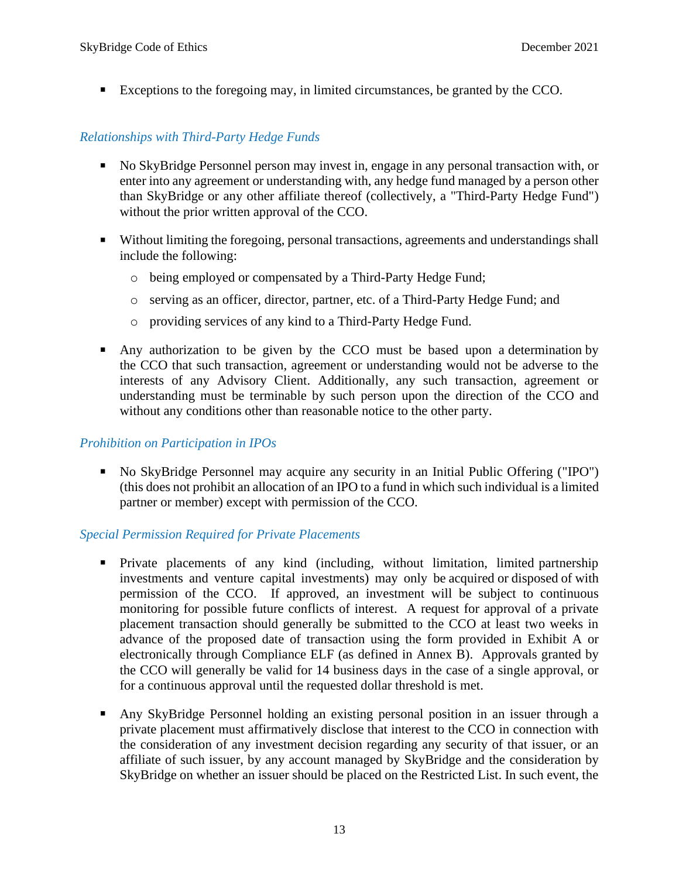▪ Exceptions to the foregoing may, in limited circumstances, be granted by the CCO.

### *Relationships with Third-Party Hedge Funds*

- No SkyBridge Personnel person may invest in, engage in any personal transaction with, or enter into any agreement or understanding with, any hedge fund managed by a person other than SkyBridge or any other affiliate thereof (collectively, a "Third-Party Hedge Fund") without the prior written approval of the CCO.
- Without limiting the foregoing, personal transactions, agreements and understandings shall include the following:
	- o being employed or compensated by a Third-Party Hedge Fund;
	- o serving as an officer, director, partner, etc. of a Third-Party Hedge Fund; and
	- o providing services of any kind to a Third-Party Hedge Fund.
- Any authorization to be given by the CCO must be based upon a determination by the CCO that such transaction, agreement or understanding would not be adverse to the interests of any Advisory Client. Additionally, any such transaction, agreement or understanding must be terminable by such person upon the direction of the CCO and without any conditions other than reasonable notice to the other party.

### *Prohibition on Participation in IPOs*

▪ No SkyBridge Personnel may acquire any security in an Initial Public Offering ("IPO") (this does not prohibit an allocation of an IPO to a fund in which such individual is a limited partner or member) except with permission of the CCO.

### *Special Permission Required for Private Placements*

- **•** Private placements of any kind (including, without limitation, limited partnership investments and venture capital investments) may only be acquired or disposed of with permission of the CCO. If approved, an investment will be subject to continuous monitoring for possible future conflicts of interest. A request for approval of a private placement transaction should generally be submitted to the CCO at least two weeks in advance of the proposed date of transaction using the form provided in Exhibit A or electronically through Compliance ELF (as defined in Annex B). Approvals granted by the CCO will generally be valid for 14 business days in the case of a single approval, or for a continuous approval until the requested dollar threshold is met.
- Any SkyBridge Personnel holding an existing personal position in an issuer through a private placement must affirmatively disclose that interest to the CCO in connection with the consideration of any investment decision regarding any security of that issuer, or an affiliate of such issuer, by any account managed by SkyBridge and the consideration by SkyBridge on whether an issuer should be placed on the Restricted List. In such event, the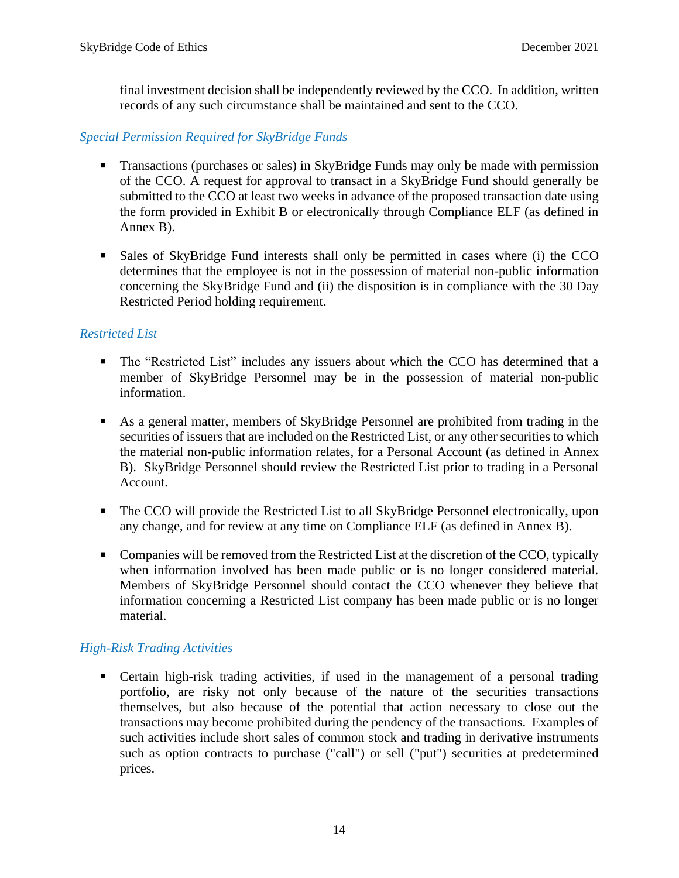final investment decision shall be independently reviewed by the CCO. In addition, written records of any such circumstance shall be maintained and sent to the CCO.

### *Special Permission Required for SkyBridge Funds*

- **•** Transactions (purchases or sales) in SkyBridge Funds may only be made with permission of the CCO. A request for approval to transact in a SkyBridge Fund should generally be submitted to the CCO at least two weeks in advance of the proposed transaction date using the form provided in Exhibit B or electronically through Compliance ELF (as defined in Annex B).
- **Example 5** Sales of SkyBridge Fund interests shall only be permitted in cases where (i) the CCO determines that the employee is not in the possession of material non-public information concerning the SkyBridge Fund and (ii) the disposition is in compliance with the 30 Day Restricted Period holding requirement.

### *Restricted List*

- The "Restricted List" includes any issuers about which the CCO has determined that a member of SkyBridge Personnel may be in the possession of material non-public information.
- As a general matter, members of SkyBridge Personnel are prohibited from trading in the securities of issuers that are included on the Restricted List, or any other securities to which the material non-public information relates, for a Personal Account (as defined in Annex B). SkyBridge Personnel should review the Restricted List prior to trading in a Personal Account.
- The CCO will provide the Restricted List to all SkyBridge Personnel electronically, upon any change, and for review at any time on Compliance ELF (as defined in Annex B).
- Companies will be removed from the Restricted List at the discretion of the CCO, typically when information involved has been made public or is no longer considered material. Members of SkyBridge Personnel should contact the CCO whenever they believe that information concerning a Restricted List company has been made public or is no longer material.

# *High-Risk Trading Activities*

**•** Certain high-risk trading activities, if used in the management of a personal trading portfolio, are risky not only because of the nature of the securities transactions themselves, but also because of the potential that action necessary to close out the transactions may become prohibited during the pendency of the transactions. Examples of such activities include short sales of common stock and trading in derivative instruments such as option contracts to purchase ("call") or sell ("put") securities at predetermined prices.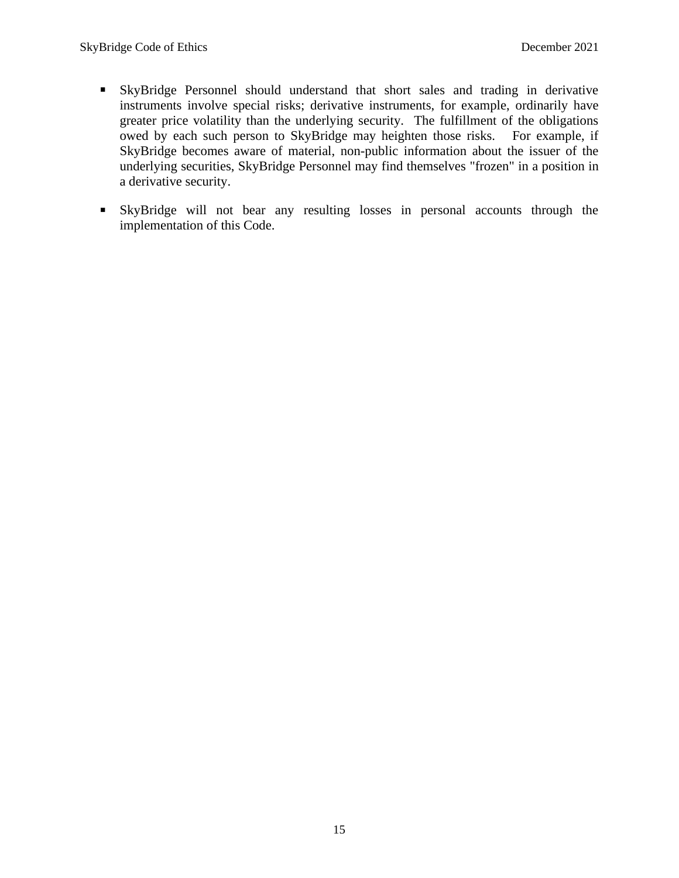- SkyBridge Personnel should understand that short sales and trading in derivative instruments involve special risks; derivative instruments, for example, ordinarily have greater price volatility than the underlying security. The fulfillment of the obligations owed by each such person to SkyBridge may heighten those risks. For example, if SkyBridge becomes aware of material, non-public information about the issuer of the underlying securities, SkyBridge Personnel may find themselves "frozen" in a position in a derivative security.
- SkyBridge will not bear any resulting losses in personal accounts through the implementation of this Code.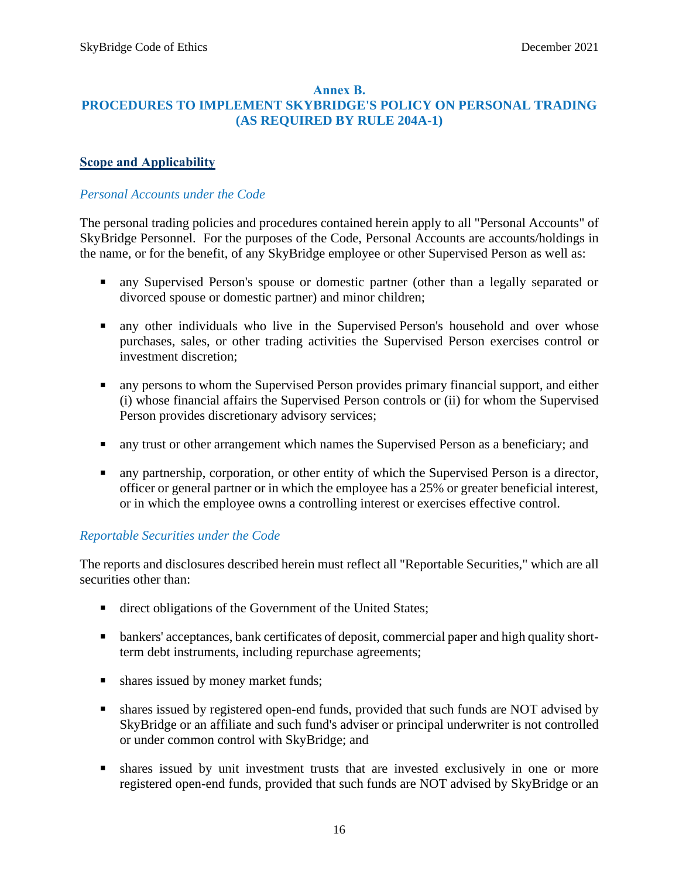#### **Annex B.**

# <span id="page-17-0"></span>**PROCEDURES TO IMPLEMENT SKYBRIDGE'S POLICY ON PERSONAL TRADING (AS REQUIRED BY RULE 204A-1)**

### <span id="page-17-1"></span>**Scope and Applicability**

### *Personal Accounts under the Code*

The personal trading policies and procedures contained herein apply to all "Personal Accounts" of SkyBridge Personnel. For the purposes of the Code, Personal Accounts are accounts/holdings in the name, or for the benefit, of any SkyBridge employee or other Supervised Person as well as:

- any Supervised Person's spouse or domestic partner (other than a legally separated or divorced spouse or domestic partner) and minor children;
- any other individuals who live in the Supervised Person's household and over whose purchases, sales, or other trading activities the Supervised Person exercises control or investment discretion;
- any persons to whom the Supervised Person provides primary financial support, and either (i) whose financial affairs the Supervised Person controls or (ii) for whom the Supervised Person provides discretionary advisory services;
- any trust or other arrangement which names the Supervised Person as a beneficiary; and
- any partnership, corporation, or other entity of which the Supervised Person is a director, officer or general partner or in which the employee has a 25% or greater beneficial interest, or in which the employee owns a controlling interest or exercises effective control.

### *Reportable Securities under the Code*

The reports and disclosures described herein must reflect all "Reportable Securities," which are all securities other than:

- direct obligations of the Government of the United States;
- bankers' acceptances, bank certificates of deposit, commercial paper and high quality shortterm debt instruments, including repurchase agreements;
- shares issued by money market funds;
- shares issued by registered open-end funds, provided that such funds are NOT advised by SkyBridge or an affiliate and such fund's adviser or principal underwriter is not controlled or under common control with SkyBridge; and
- **E** shares issued by unit investment trusts that are invested exclusively in one or more registered open-end funds, provided that such funds are NOT advised by SkyBridge or an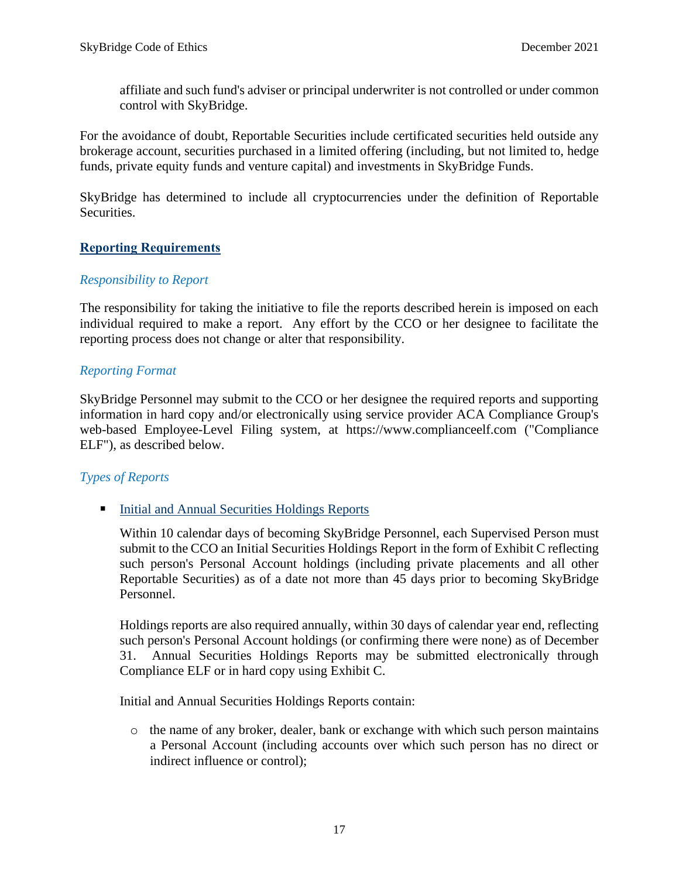affiliate and such fund's adviser or principal underwriter is not controlled or under common control with SkyBridge.

For the avoidance of doubt, Reportable Securities include certificated securities held outside any brokerage account, securities purchased in a limited offering (including, but not limited to, hedge funds, private equity funds and venture capital) and investments in SkyBridge Funds.

SkyBridge has determined to include all cryptocurrencies under the definition of Reportable Securities.

### <span id="page-18-0"></span>**Reporting Requirements**

### *Responsibility to Report*

The responsibility for taking the initiative to file the reports described herein is imposed on each individual required to make a report. Any effort by the CCO or her designee to facilitate the reporting process does not change or alter that responsibility.

### *Reporting Format*

SkyBridge Personnel may submit to the CCO or her designee the required reports and supporting information in hard copy and/or electronically using service provider ACA Compliance Group's web-based Employee-Level Filing system, at https://www.complianceelf.com ("Compliance ELF"), as described below.

### *Types of Reports*

■ Initial and Annual Securities Holdings Reports

Within 10 calendar days of becoming SkyBridge Personnel, each Supervised Person must submit to the CCO an Initial Securities Holdings Report in the form of Exhibit C reflecting such person's Personal Account holdings (including private placements and all other Reportable Securities) as of a date not more than 45 days prior to becoming SkyBridge Personnel.

Holdings reports are also required annually, within 30 days of calendar year end, reflecting such person's Personal Account holdings (or confirming there were none) as of December 31. Annual Securities Holdings Reports may be submitted electronically through Compliance ELF or in hard copy using Exhibit C.

Initial and Annual Securities Holdings Reports contain:

o the name of any broker, dealer, bank or exchange with which such person maintains a Personal Account (including accounts over which such person has no direct or indirect influence or control);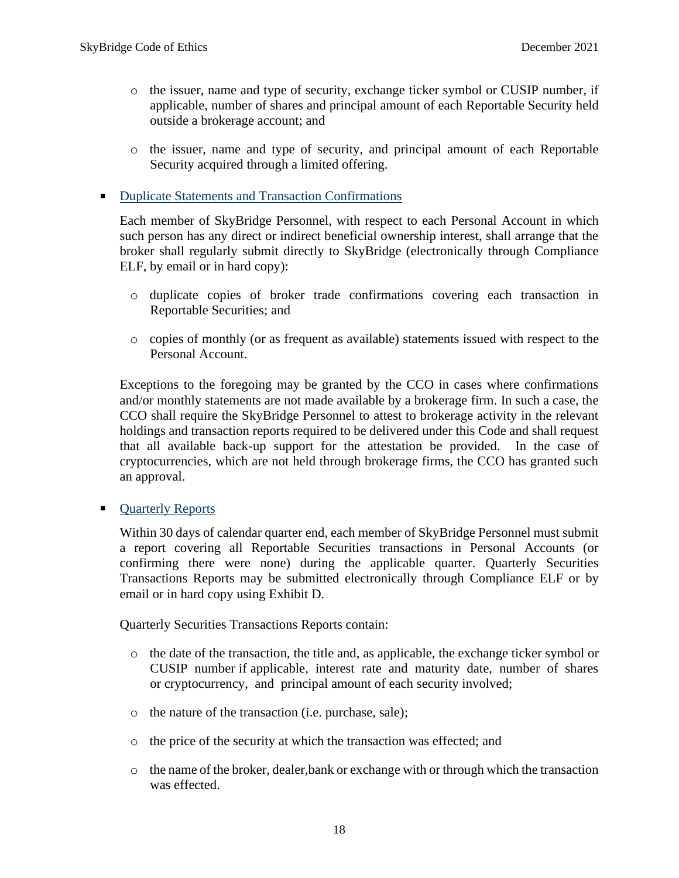- o the issuer, name and type of security, exchange ticker symbol or CUSIP number, if applicable, number of shares and principal amount of each Reportable Security held outside a brokerage account; and
- o the issuer, name and type of security, and principal amount of each Reportable Security acquired through a limited offering.

#### ■ Duplicate Statements and Transaction Confirmations

Each member of SkyBridge Personnel, with respect to each Personal Account in which such person has any direct or indirect beneficial ownership interest, shall arrange that the broker shall regularly submit directly to SkyBridge (electronically through Compliance ELF, by email or in hard copy):

- o duplicate copies of broker trade confirmations covering each transaction in Reportable Securities; and
- o copies of monthly (or as frequent as available) statements issued with respect to the Personal Account.

Exceptions to the foregoing may be granted by the CCO in cases where confirmations and/or monthly statements are not made available by a brokerage firm. In such a case, the CCO shall require the SkyBridge Personnel to attest to brokerage activity in the relevant holdings and transaction reports required to be delivered under this Code and shall request that all available back-up support for the attestation be provided. In the case of cryptocurrencies, which are not held through brokerage firms, the CCO has granted such an approval.

**• Quarterly Reports** 

Within 30 days of calendar quarter end, each member of SkyBridge Personnel must submit a report covering all Reportable Securities transactions in Personal Accounts (or confirming there were none) during the applicable quarter. Quarterly Securities Transactions Reports may be submitted electronically through Compliance ELF or by email or in hard copy using Exhibit D.

Quarterly Securities Transactions Reports contain:

- o the date of the transaction, the title and, as applicable, the exchange ticker symbol or CUSIP number if applicable, interest rate and maturity date, number of shares or cryptocurrency, and principal amount of each security involved;
- o the nature of the transaction (i.e. purchase, sale);
- o the price of the security at which the transaction was effected; and
- o the name of the broker, dealer,bank or exchange with or through which the transaction was effected.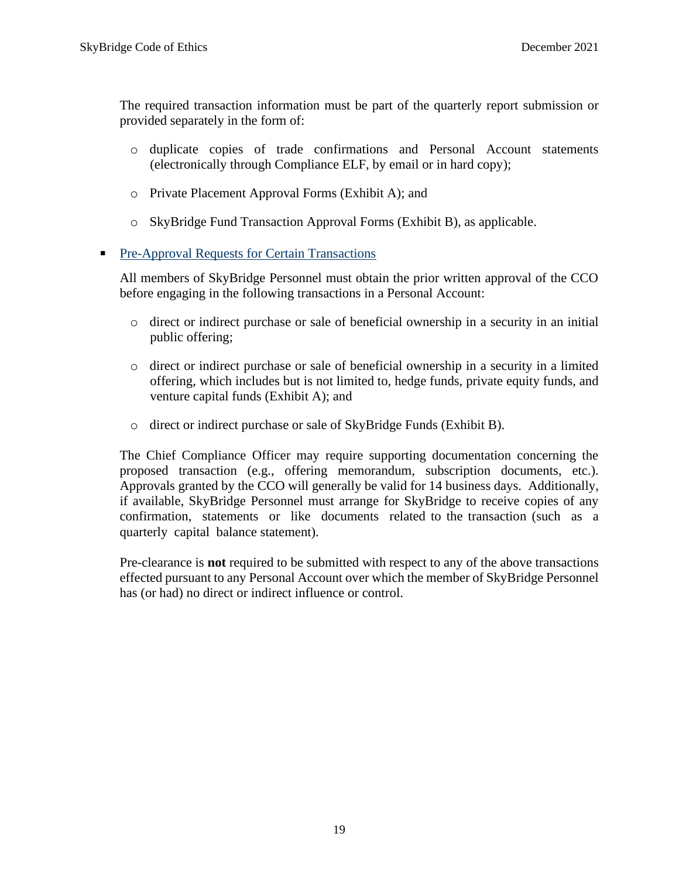The required transaction information must be part of the quarterly report submission or provided separately in the form of:

- o duplicate copies of trade confirmations and Personal Account statements (electronically through Compliance ELF, by email or in hard copy);
- o Private Placement Approval Forms (Exhibit A); and
- o SkyBridge Fund Transaction Approval Forms (Exhibit B), as applicable.

### ■ Pre-Approval Requests for Certain Transactions

All members of SkyBridge Personnel must obtain the prior written approval of the CCO before engaging in the following transactions in a Personal Account:

- o direct or indirect purchase or sale of beneficial ownership in a security in an initial public offering;
- o direct or indirect purchase or sale of beneficial ownership in a security in a limited offering, which includes but is not limited to, hedge funds, private equity funds, and venture capital funds (Exhibit A); and
- o direct or indirect purchase or sale of SkyBridge Funds (Exhibit B).

The Chief Compliance Officer may require supporting documentation concerning the proposed transaction (e.g., offering memorandum, subscription documents, etc.). Approvals granted by the CCO will generally be valid for 14 business days. Additionally, if available, SkyBridge Personnel must arrange for SkyBridge to receive copies of any confirmation, statements or like documents related to the transaction (such as a quarterly capital balance statement).

Pre-clearance is **not** required to be submitted with respect to any of the above transactions effected pursuant to any Personal Account over which the member of SkyBridge Personnel has (or had) no direct or indirect influence or control.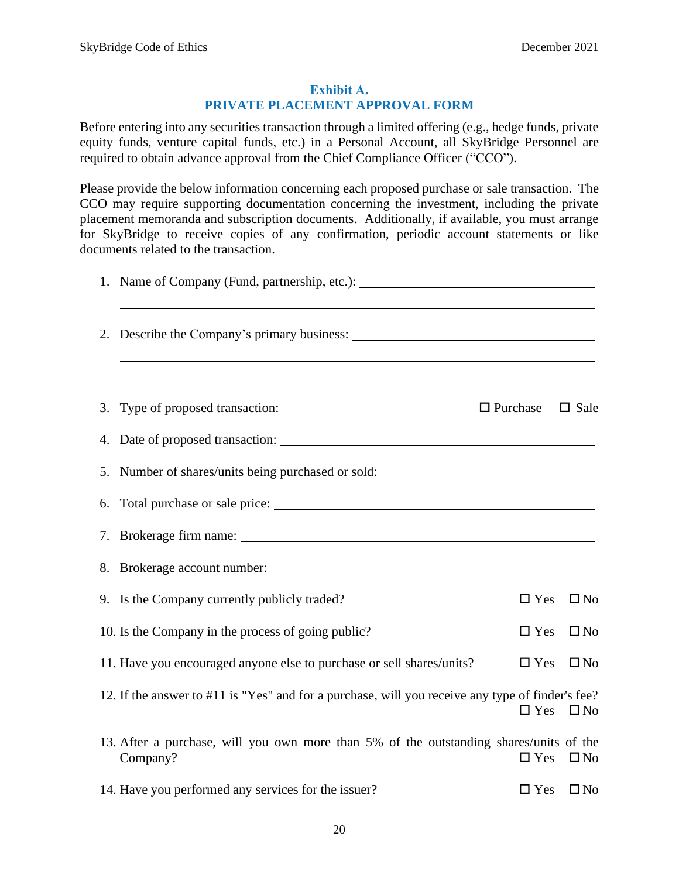#### **Exhibit A. PRIVATE PLACEMENT APPROVAL FORM**

<span id="page-21-0"></span>Before entering into any securities transaction through a limited offering (e.g., hedge funds, private equity funds, venture capital funds, etc.) in a Personal Account, all SkyBridge Personnel are required to obtain advance approval from the Chief Compliance Officer ("CCO").

Please provide the below information concerning each proposed purchase or sale transaction. The CCO may require supporting documentation concerning the investment, including the private placement memoranda and subscription documents. Additionally, if available, you must arrange for SkyBridge to receive copies of any confirmation, periodic account statements or like documents related to the transaction.

| 1. Name of Company (Fund, partnership, etc.): __________________________________                   |                 |                      |
|----------------------------------------------------------------------------------------------------|-----------------|----------------------|
|                                                                                                    |                 |                      |
| 3. Type of proposed transaction:                                                                   | $\Box$ Purchase | $\Box$ Sale          |
| 4. Date of proposed transaction:                                                                   |                 |                      |
| 5. Number of shares/units being purchased or sold: _____________________________                   |                 |                      |
|                                                                                                    |                 |                      |
| 7. Brokerage firm name:                                                                            |                 |                      |
|                                                                                                    |                 |                      |
| 9. Is the Company currently publicly traded?                                                       | $\Box$ Yes      | $\square$ No         |
| 10. Is the Company in the process of going public?                                                 | $\Box$ Yes      | $\square$ No         |
| 11. Have you encouraged anyone else to purchase or sell shares/units?                              | $\Box$ Yes      | $\square$ No         |
| 12. If the answer to #11 is "Yes" and for a purchase, will you receive any type of finder's fee?   | $\Box$ Yes      | $\square$ No         |
| 13. After a purchase, will you own more than 5% of the outstanding shares/units of the<br>Company? | $\Box$ Yes      | $\square$ No         |
| 14. Have you performed any services for the issuer?                                                |                 | $\Box$ Yes $\Box$ No |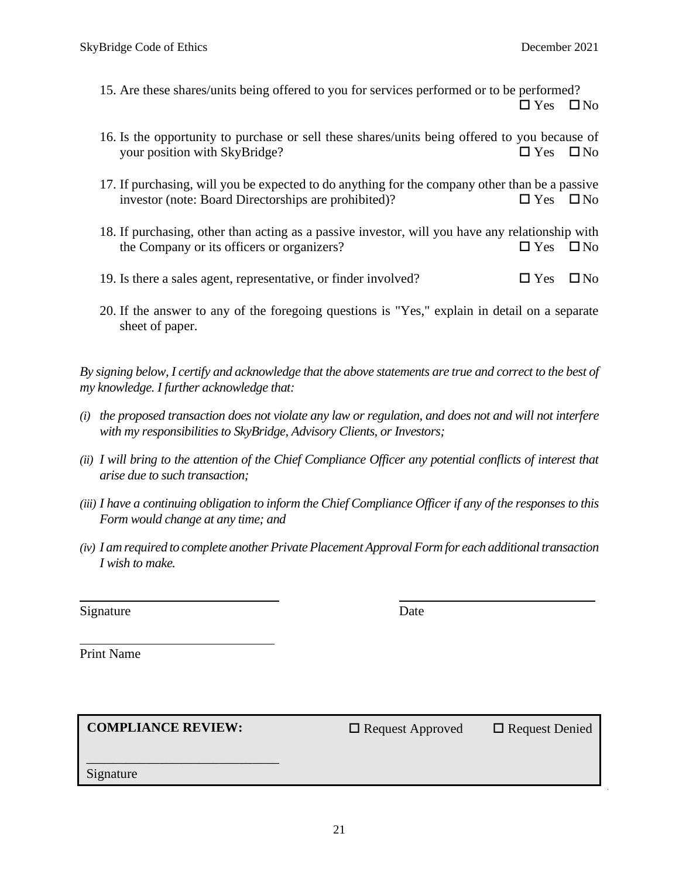- 15. Are these shares/units being offered to you for services performed or to be performed?  $\Box$  Yes  $\Box$  No
- 16. Is the opportunity to purchase or sell these shares/units being offered to you because of your position with SkyBridge?  $\Box$  Yes  $\Box$  No
- 17. If purchasing, will you be expected to do anything for the company other than be a passive investor (note: Board Directorships are prohibited)?  $\square$  Yes  $\square$  No
- 18. If purchasing, other than acting as a passive investor, will you have any relationship with the Company or its officers or organizers?  $\square$  Yes  $\square$  No
- 19. Is there a sales agent, representative, or finder involved?  $\square$  Yes  $\square$  No
- 20. If the answer to any of the foregoing questions is "Yes," explain in detail on a separate sheet of paper.

*By signing below, I certify and acknowledge that the above statements are true and correct to the best of my knowledge. I further acknowledge that:*

- *(i) the proposed transaction does not violate any law or regulation, and does not and will not interfere with my responsibilities to SkyBridge, Advisory Clients, or Investors;*
- *(ii) I will bring to the attention of the Chief Compliance Officer any potential conflicts of interest that arise due to such transaction;*
- *(iii) I have a continuing obligation to inform the Chief Compliance Officer if any of the responses to this Form would change at any time; and*
- *(iv) I am required to complete another Private Placement Approval Form for each additional transaction I wish to make.*

Signature Date

Print Name

**COMPLIANCE REVIEW:** □ Request Approved □ Request Denied

\_\_\_\_\_\_\_\_\_\_\_\_\_\_\_\_\_\_\_\_\_\_\_\_\_\_\_\_\_

Signature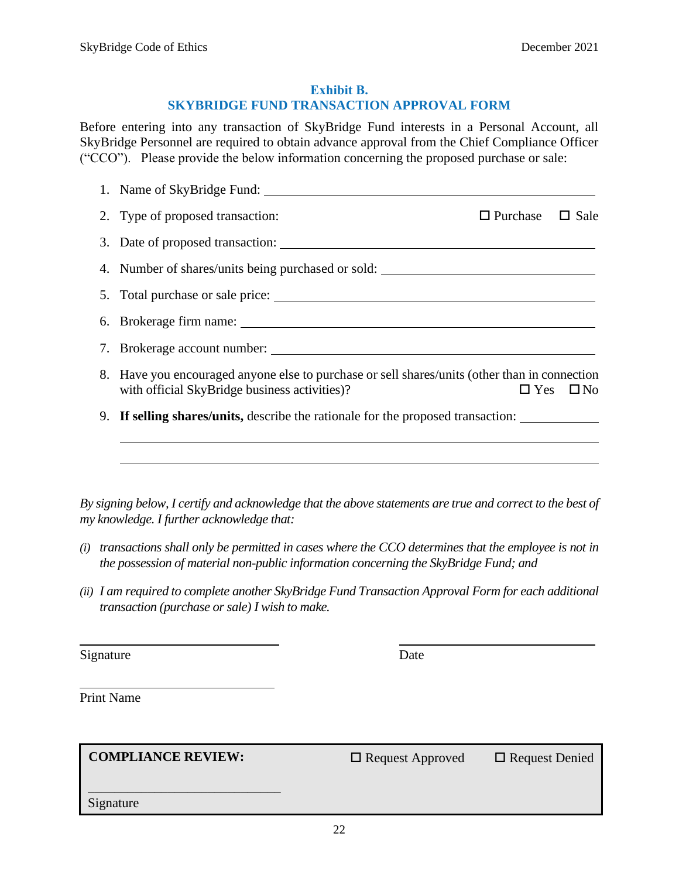#### **Exhibit B.**

#### **SKYBRIDGE FUND TRANSACTION APPROVAL FORM**

<span id="page-23-0"></span>Before entering into any transaction of SkyBridge Fund interests in a Personal Account, all SkyBridge Personnel are required to obtain advance approval from the Chief Compliance Officer ("CCO"). Please provide the below information concerning the proposed purchase or sale:

| 1. Name of SkyBridge Fund:                                                                                                                     |                             |                      |
|------------------------------------------------------------------------------------------------------------------------------------------------|-----------------------------|----------------------|
| 2. Type of proposed transaction:                                                                                                               | $\Box$ Purchase $\Box$ Sale |                      |
|                                                                                                                                                |                             |                      |
| 4. Number of shares/units being purchased or sold: _____________________________                                                               |                             |                      |
|                                                                                                                                                |                             |                      |
|                                                                                                                                                |                             |                      |
|                                                                                                                                                |                             |                      |
| 8. Have you encouraged anyone else to purchase or sell shares/units (other than in connection<br>with official SkyBridge business activities)? |                             | $\Box$ Yes $\Box$ No |
| 9. If selling shares/units, describe the rationale for the proposed transaction:                                                               |                             |                      |
| <u> 1989 - Andrea Barbara, Amerikaansk politiker (d. 1989)</u>                                                                                 |                             |                      |
|                                                                                                                                                |                             |                      |
|                                                                                                                                                |                             |                      |

*By signing below, I certify and acknowledge that the above statements are true and correct to the best of my knowledge. I further acknowledge that:*

- *(i) transactions shall only be permitted in cases where the CCO determines that the employee is not in the possession of material non-public information concerning the SkyBridge Fund; and*
- *(ii) I am required to complete another SkyBridge Fund Transaction Approval Form for each additional transaction (purchase or sale) I wish to make.*

Signature Date

Print Name

COMPLIANCE REVIEW: □ Request Approved □ Request Denied

\_\_\_\_\_\_\_\_\_\_\_\_\_\_\_\_\_\_\_\_\_\_\_\_\_\_\_\_\_

Signature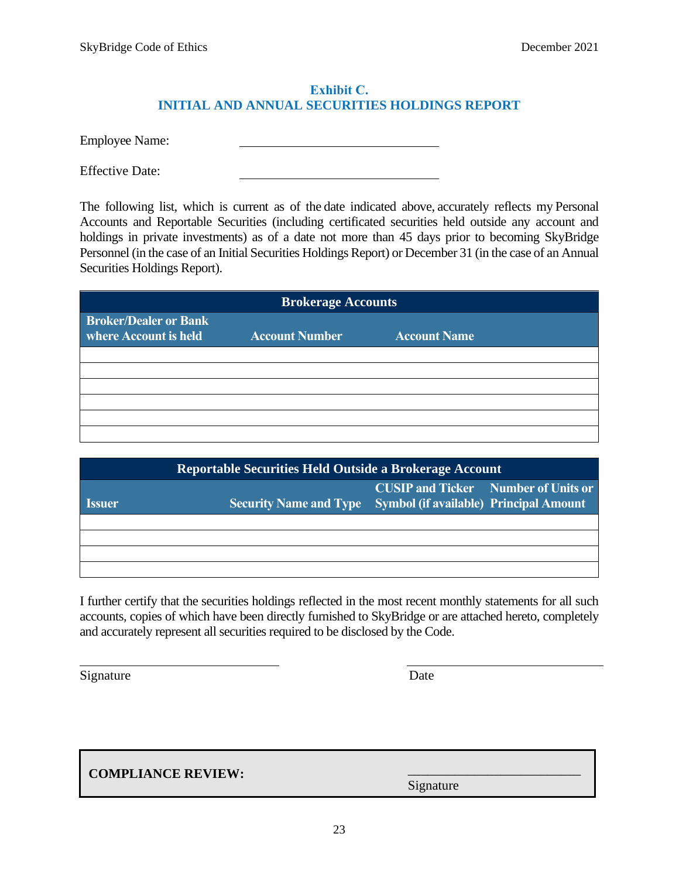#### **Exhibit C. INITIAL AND ANNUAL SECURITIES HOLDINGS REPORT**

<span id="page-24-0"></span>Employee Name:

Effective Date:

The following list, which is current as of the date indicated above, accurately reflects my Personal Accounts and Reportable Securities (including certificated securities held outside any account and holdings in private investments) as of a date not more than 45 days prior to becoming SkyBridge Personnel (in the case of an Initial Securities Holdings Report) or December 31 (in the case of an Annual Securities Holdings Report).

| <b>Brokerage Accounts</b>                             |                       |                     |  |
|-------------------------------------------------------|-----------------------|---------------------|--|
| <b>Broker/Dealer or Bank</b><br>where Account is held | <b>Account Number</b> | <b>Account Name</b> |  |
|                                                       |                       |                     |  |
|                                                       |                       |                     |  |
|                                                       |                       |                     |  |
|                                                       |                       |                     |  |
|                                                       |                       |                     |  |
|                                                       |                       |                     |  |

|                             | Reportable Securities Held Outside a Brokerage Account |                                                                                             |  |  |
|-----------------------------|--------------------------------------------------------|---------------------------------------------------------------------------------------------|--|--|
| <i><u><b>Issuer</b></u></i> | <b>Security Name and Type</b>                          | <b>CUSIP and Ticker</b> Number of Units or<br><b>Symbol (if available) Principal Amount</b> |  |  |
|                             |                                                        |                                                                                             |  |  |
|                             |                                                        |                                                                                             |  |  |
|                             |                                                        |                                                                                             |  |  |
|                             |                                                        |                                                                                             |  |  |

I further certify that the securities holdings reflected in the most recent monthly statements for all such accounts, copies of which have been directly furnished to SkyBridge or are attached hereto, completely and accurately represent all securities required to be disclosed by the Code.

Signature Date

**COMPLIANCE REVIEW:**

Signature

\_\_\_\_\_\_\_\_\_\_\_\_\_\_\_\_\_\_\_\_\_\_\_\_\_\_